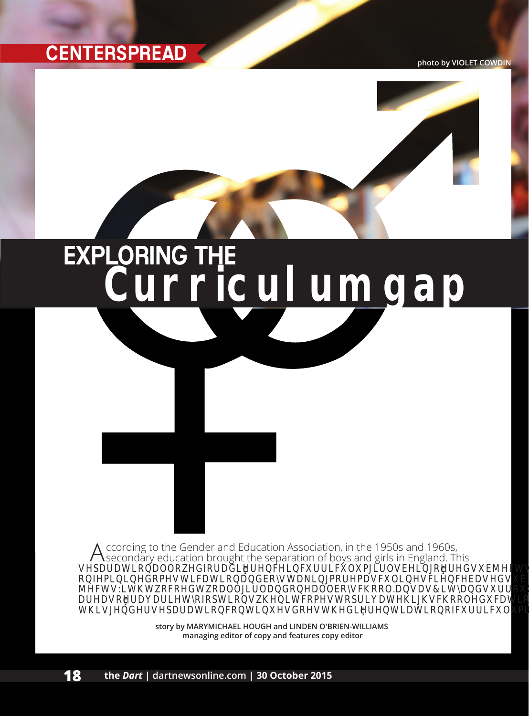

# **Curriculum gap** EXPLORING THE



**story by MARYMICHAEL HOUGH and LINDEN O'BRIEN-WILLIAMS managing editor of copy and features copy editor**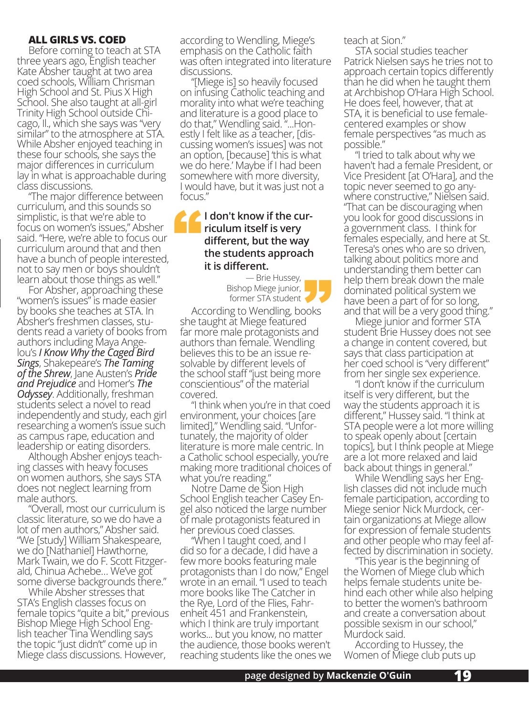### **ALL GIRLS VS. COED**

Before coming to teach at STA three years ago, English teacher Kate Absher taught at two area coed schools, William Chrisman High School and St. Pius X High School. She also taught at all-girl Trinity High School outside Chicago, Il., which she says was "very similar" to the atmosphere at STA. While Absher enjoyed teaching in these four schools, she says the major differences in curriculum lay in what is approachable during class discussions.

"The major difference between curriculum, and this sounds so simplistic, is that we're able to focus on women's issues," Absher said. "Here, we're able to focus our curriculum around that and then have a bunch of people interested, not to say men or boys shouldn't learn about those things as well."

For Absher, approaching these "women's issues" is made easier by books she teaches at STA. In Absher's freshmen classes, stu- dents read a variety of books from authors including Maya Ange- lou's *I Know Why the Caged Bird Sings*, Shakepeare's *The Taming of the Shrew*, Jane Austen's *Pride and Prejudice* and Homer's *The Odyssey*. Additionally, freshman students select a novel to read independently and study, each girl researching a women's issue such as campus rape, education and leadership or eating disorders.

Although Absher enjoys teaching classes with heavy focuses on women authors, she says STA does not neglect learning from male authors.

"Overall, most our curriculum is classic literature, so we do have a lot of men authors," Absher said. "We [study] William Shakespeare, we do [Nathaniel] Hawthorne, Mark Twain, we do F. Scott Fitzgerald, Chinua Achebe… We've got some diverse backgrounds there."

While Absher stresses that STA's English classes focus on female topics "quite a bit," previous Bishop Miege High School English teacher Tina Wendling says the topic "just didn't" come up in Miege class discussions. However,

according to Wendling, Miege's emphasis on the Catholic faith was often integrated into literature discussions.

"[Miege is] so heavily focused on infusing Catholic teaching and morality into what we're teaching and literature is a good place to do that," Wendling said. "...Hon- estly I felt like as a teacher, [dis- cussing women's issues] was not an option, [because] 'this is what we do here.' Maybe if I had been somewhere with more diversity, I would have, but it was just not a focus."

#### **I don't know if the curriculum itself is very different, but the way the students approach it is different.** "

**rent.**<br>— Brie Hussey,<br>p Miege junior,<br>ner STA student Bishop Miege junior, former STA student

According to Wendling, books she taught at Miege featured far more male protagonists and authors than female. Wendling believes this to be an issue resolvable by different levels of the school staff "just being more conscientious" of the material covered.

"I think when you're in that coed environment, your choices [are limited]," Wendling said. "Unfortunately, the majority of older literature is more male centric. In a Catholic school especially, you're making more traditional choices of what you're reading."

Notre Dame de Sion High School English teacher Casey Engel also noticed the large number of male protagonists featured in her previous coed classes.

"When I taught coed, and I did so for a decade, I did have a few more books featuring male protagonists than I do now," Engel wrote in an email. "I used to teach more books like The Catcher in the Rye, Lord of the Flies, Fahr- enheit 451 and Frankenstein, which I think are truly important works... but you know, no matter the audience, those books weren't reaching students like the ones we teach at Sion."

STA social studies teacher Patrick Nielsen says he tries not to approach certain topics differently than he did when he taught them at Archbishop O'Hara High School. He does feel, however, that at STA, it is beneficial to use femalecentered examples or show female perspectives "as much as possible."

"I tried to talk about why we haven't had a female President, or Vice President [at O'Hara], and the topic never seemed to go any- where constructive," Nielsen said. "That can be discouraging when you look for good discussions in a government class. I think for females especially, and here at St. Teresa's ones who are so driven, talking about politics more and understanding them better can help them break down the male dominated political system we have been a part of for so long, and that will be a very good thing."

Miege junior and former STA student Brie Hussey does not see a change in content covered, but says that class participation at her coed school is "very different" from her single sex experience. "I don't know if the curriculum

itself is very different, but the way the students approach it is different," Hussey said. "I think at STA people were a lot more willing to speak openly about [certain topics], but I think people at Miege are a lot more relaxed and laid back about things in general."

While Wendling says her English classes did not include much female participation, according to Miege senior Nick Murdock, certain organizations at Miege allow for expression of female students and other people who may feel af-<br>fected by discrimination in society.<br>"This year is the beginning of<br>the Women of Miege club which

helps female students unite behind each other while also helping to better the women's bathroom and create a conversation about possible sexism in our school," Murdock said.

According to Hussey, the Women of Miege club puts up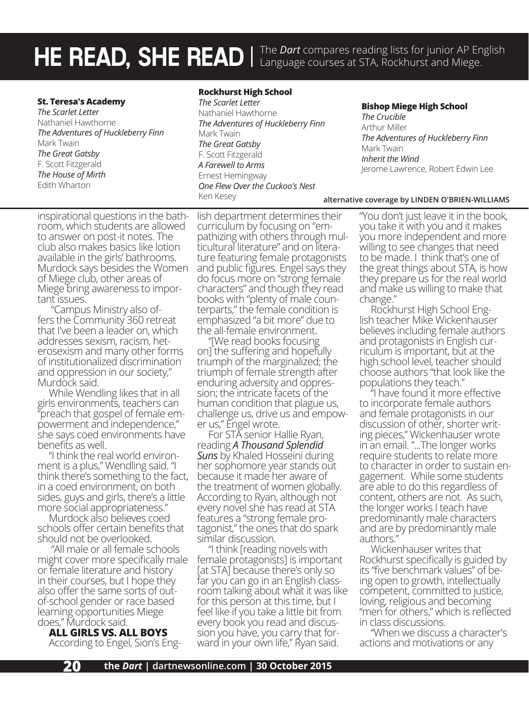HE READ, SHE READ | The *Dart* compares reading lists for junior AP English **Compating Strup 2** and Miege.

#### **St. Teresa's Academy**

*The Scarlet Letter* Nathaniel Hawthorne *The Adventures of Huckleberry Finn* Mark Twain *The Great Gatsby* F. Scott Fitzgerald *The House of Mirth* Edith Wharton

#### **Rockhurst High School**

*The Scarlet Letter* Nathaniel Hawthorne *The Adventures of Huckleberry Finn* Mark Twain *The Great Gatsby* F. Scott Fitzgerald *A Farewell to Arms* Ernest Hemingway *One Flew Over the Cuckoo's Nest* Ken Kesey

**Bishop Miege High School**

*The Crucible* Arthur Miller *The Adventures of Huckleberry Finn* Mark Twain *Inherit the Wind* Jerome Lawrence, Robert Edwin Lee

#### **alternative coverage by LINDEN O'BRIEN-WILLIAMS**

inspirational questions in the bathroom, which students are allowed to answer on post-it notes. The club also makes basics like lotion available in the girls' bathrooms. Murdock says besides the Women of Miege club, other areas of Miege bring awareness to important issues.

 "Campus Ministry also offers the Community 360 retreat that I've been a leader on, which addresses sexism, racism, heterosexism and many other forms of institutionalized discrimination and oppression in our society," Murdock said.

While Wendling likes that in all girls environments, teachers can "preach that gospel of female em-<br>powerment and independence," she says coed environments have benefits as well.

"I think the real world environ- ment is a plus," Wendling said. "I think there's something to the fact, in a coed environment, on both sides, guys and girls, there's a little more social appropriateness."

Murdock also believes coed schools offer certain benefits that should not be overlooked.

 "All male or all female schools might cover more specifically male or female literature and history in their courses, but I hope they also offer the same sorts of outof-school gender or race based learning opportunities Miege does," Murdock said.

**ALL GIRLS VS. ALL BOYS** According to Engel, Sion's Eng-

lish department determines their curriculum by focusing on "em-<br>pathizing with others through mul-<br>ticultural literature" and on litera-<br>ture featuring female protagonists and public figures. Engel says they do focus more on "strong female characters" and though they read books with "plenty of male counterparts," the female condition is emphasized "a bit more" due to the all-female environment.

"[We read books focusing on] the suffering and hopefully triumph of the marginalized; the triumph of female strength after enduring adversity and oppres-<br>sion; the intricate facets of the human condition that plague us, challenge us, drive us and empow-<br>er us," Engel wrote.

For STA senior Hallie Ryan, reading *A Thousand Splendid Suns* by Khaled Hosseini during her sophomore year stands out because it made her aware of the treatment of women globally. According to Ryan, although not every novel she has read at STA features a "strong female protagonist," the ones that do spark similar discussion.

"I think [reading novels with female protagonists] is important [at STA] because there's only so far you can go in an English class-<br>room talking about what it was like for this person at this time, but I feel like if you take a little bit from every book you read and discus-<br>sion you have, you carry that for-<br>ward in your own life," Ryan said.

"You don't just leave it in the book, you take it with you and it makes you more independent and more willing to see changes that need to be made. I think that's one of the great things about STA, is how they prepare us for the real world and make us willing to make that change."

Rockhurst High School English teacher Mike Wickenhauser believes including female authors and protagonists in English curriculum is important, but at the high school level, teacher should choose authors "that look like the

"I have found it more effective to incorporate female authors and female protagonists in our discussion of other, shorter writ- ing pieces," Wickenhauser wrote in an email. "...The longer works require students to relate more to character in order to sustain en-<br>gagement. While some students are able to do this regardless of content, others are not. As such, the longer works I teach have predominantly male characters and are by predominantly male authors."

Wickenhauser writes that Rockhurst specifically is guided by its "five benchmark values" of be- ing open to growth, intellectually competent, committed to justice, loving, religious and becoming "men for others," which is reflected in class discussions.

"When we discuss a character's actions and motivations or any